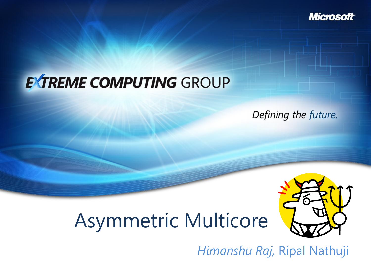**Microsoft** 

#### **EXTREME COMPUTING GROUP**

Defining the future.

# Asymmetric Multicore



*Himanshu Raj,* Ripal Nathuji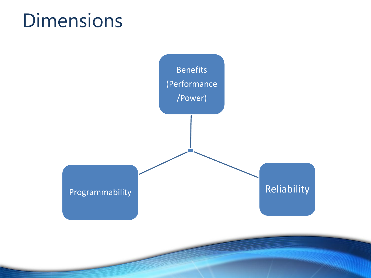#### **Dimensions**

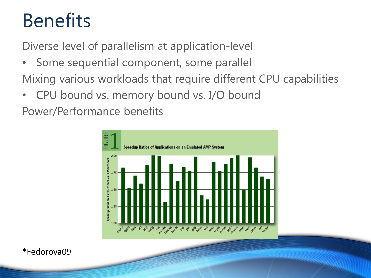### **Benefits**

Diverse level of parallelism at application-level

- Some sequential component, some parallel Mixing various workloads that require different CPU capabilities
- CPU bound vs. memory bound vs. I/O bound

Power/Performance benefits



\*Fedorova09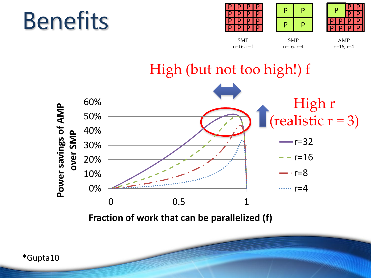# **Benefits**





SMP n=16, r=4



SMP n=16, r=1

AMP n=16, r=4



**Fraction of work that can be parallelized (f)**

\*Gupta10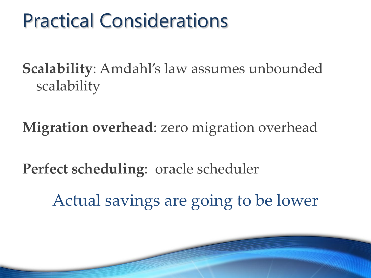### Practical Considerations

**Scalability**: Amdahl's law assumes unbounded scalability

**Migration overhead**: zero migration overhead

**Perfect scheduling**: oracle scheduler

Actual savings are going to be lower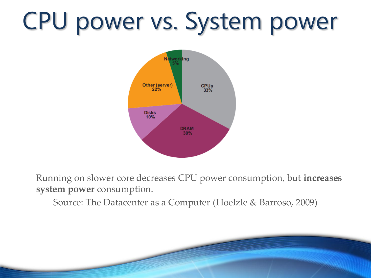# CPU power vs. System power



Running on slower core decreases CPU power consumption, but **increases system power** consumption.

Source: The Datacenter as a Computer (Hoelzle & Barroso, 2009)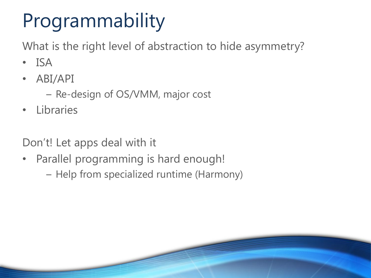# Programmability

What is the right level of abstraction to hide asymmetry?

- ISA
- ABI/API
	- Re-design of OS/VMM, major cost
- Libraries

Don't! Let apps deal with it

- Parallel programming is hard enough!
	- Help from specialized runtime (Harmony)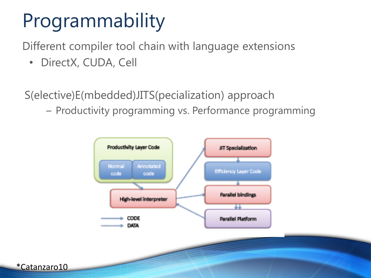# Programmability

Different compiler tool chain with language extensions

• DirectX, CUDA, Cell

\*Catanzaro10

S(elective)E(mbedded)JITS(pecialization) approach

– Productivity programming vs. Performance programming

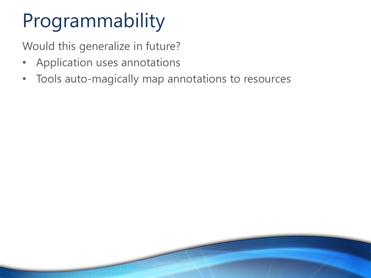# Programmability

Would this generalize in future?

- Application uses annotations
- Tools auto-magically map annotations to resources

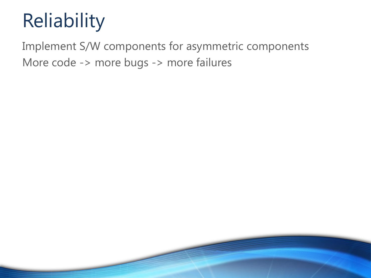# Reliability

Implement S/W components for asymmetric components More code -> more bugs -> more failures